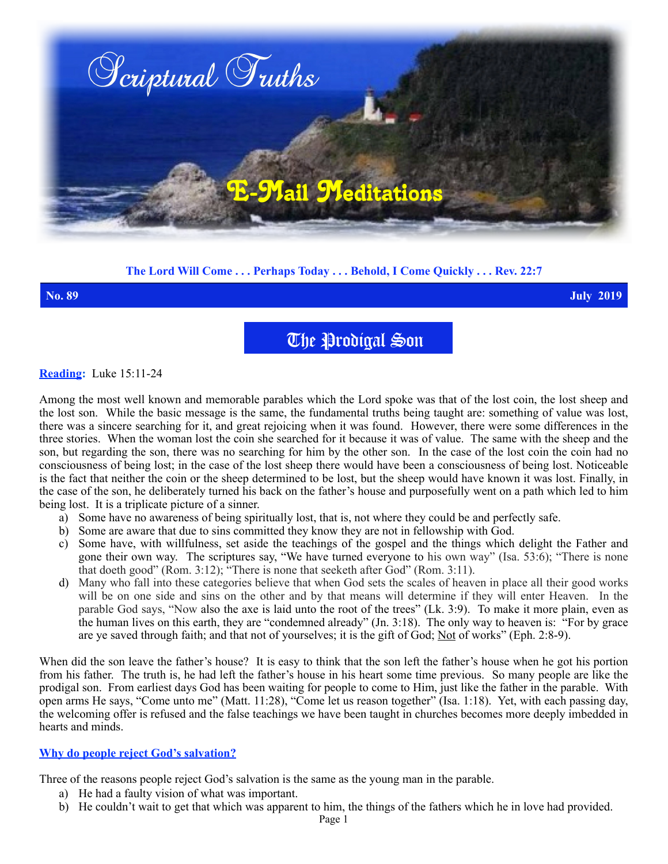

# **The Lord Will Come . . . Perhaps Today . . . Behold, I Come Quickly . . . Rev. 22:7**

**No. 89 July 2019**

The Prodigal Son

## **Reading:** Luke 15:11-24

Among the most well known and memorable parables which the Lord spoke was that of the lost coin, the lost sheep and the lost son. While the basic message is the same, the fundamental truths being taught are: something of value was lost, there was a sincere searching for it, and great rejoicing when it was found. However, there were some differences in the three stories. When the woman lost the coin she searched for it because it was of value. The same with the sheep and the son, but regarding the son, there was no searching for him by the other son. In the case of the lost coin the coin had no consciousness of being lost; in the case of the lost sheep there would have been a consciousness of being lost. Noticeable is the fact that neither the coin or the sheep determined to be lost, but the sheep would have known it was lost. Finally, in the case of the son, he deliberately turned his back on the father's house and purposefully went on a path which led to him being lost. It is a triplicate picture of a sinner.

- a) Some have no awareness of being spiritually lost, that is, not where they could be and perfectly safe.
- b) Some are aware that due to sins committed they know they are not in fellowship with God.
- c) Some have, with willfulness, set aside the teachings of the gospel and the things which delight the Father and gone their own way. The scriptures say, "We have turned everyone to his own way" (Isa. 53:6); "There is none that doeth good" (Rom. 3:12); "There is none that seeketh after God" (Rom. 3:11).
- d) Many who fall into these categories believe that when God sets the scales of heaven in place all their good works will be on one side and sins on the other and by that means will determine if they will enter Heaven. In the parable God says, "Now also the axe is laid unto the root of the trees" (Lk. 3:9). To make it more plain, even as the human lives on this earth, they are "condemned already" (Jn. 3:18). The only way to heaven is: "For by grace are ye saved through faith; and that not of yourselves; it is the gift of God; Not of works" (Eph. 2:8-9).

When did the son leave the father's house? It is easy to think that the son left the father's house when he got his portion from his father. The truth is, he had left the father's house in his heart some time previous. So many people are like the prodigal son. From earliest days God has been waiting for people to come to Him, just like the father in the parable. With open arms He says, "Come unto me" (Matt. 11:28), "Come let us reason together" (Isa. 1:18). Yet, with each passing day, the welcoming offer is refused and the false teachings we have been taught in churches becomes more deeply imbedded in hearts and minds.

## **Why do people reject God's salvation?**

Three of the reasons people reject God's salvation is the same as the young man in the parable.

- a) He had a faulty vision of what was important.
- b) He couldn't wait to get that which was apparent to him, the things of the fathers which he in love had provided.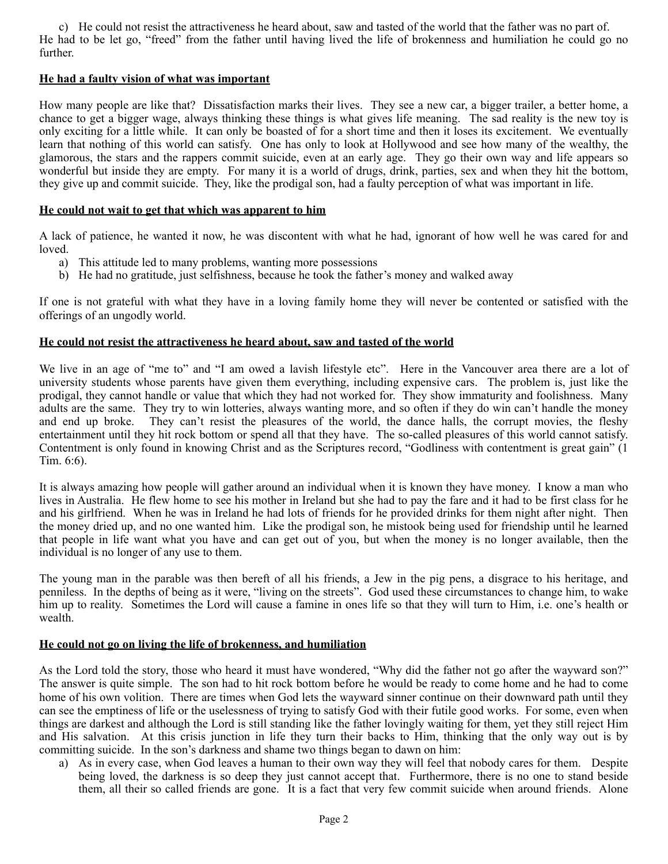c) He could not resist the attractiveness he heard about, saw and tasted of the world that the father was no part of. He had to be let go, "freed" from the father until having lived the life of brokenness and humiliation he could go no further.

# **He had a faulty vision of what was important**

How many people are like that? Dissatisfaction marks their lives. They see a new car, a bigger trailer, a better home, a chance to get a bigger wage, always thinking these things is what gives life meaning. The sad reality is the new toy is only exciting for a little while. It can only be boasted of for a short time and then it loses its excitement. We eventually learn that nothing of this world can satisfy. One has only to look at Hollywood and see how many of the wealthy, the glamorous, the stars and the rappers commit suicide, even at an early age. They go their own way and life appears so wonderful but inside they are empty. For many it is a world of drugs, drink, parties, sex and when they hit the bottom, they give up and commit suicide. They, like the prodigal son, had a faulty perception of what was important in life.

# **He could not wait to get that which was apparent to him**

A lack of patience, he wanted it now, he was discontent with what he had, ignorant of how well he was cared for and loved.

- a) This attitude led to many problems, wanting more possessions
- b) He had no gratitude, just selfishness, because he took the father's money and walked away

If one is not grateful with what they have in a loving family home they will never be contented or satisfied with the offerings of an ungodly world.

## **He could not resist the attractiveness he heard about, saw and tasted of the world**

We live in an age of "me to" and "I am owed a lavish lifestyle etc". Here in the Vancouver area there are a lot of university students whose parents have given them everything, including expensive cars. The problem is, just like the prodigal, they cannot handle or value that which they had not worked for. They show immaturity and foolishness. Many adults are the same. They try to win lotteries, always wanting more, and so often if they do win can't handle the money and end up broke. They can't resist the pleasures of the world, the dance halls, the corrupt movies, the fleshy entertainment until they hit rock bottom or spend all that they have. The so-called pleasures of this world cannot satisfy. Contentment is only found in knowing Christ and as the Scriptures record, "Godliness with contentment is great gain" (1 Tim. 6:6).

It is always amazing how people will gather around an individual when it is known they have money. I know a man who lives in Australia. He flew home to see his mother in Ireland but she had to pay the fare and it had to be first class for he and his girlfriend. When he was in Ireland he had lots of friends for he provided drinks for them night after night. Then the money dried up, and no one wanted him. Like the prodigal son, he mistook being used for friendship until he learned that people in life want what you have and can get out of you, but when the money is no longer available, then the individual is no longer of any use to them.

The young man in the parable was then bereft of all his friends, a Jew in the pig pens, a disgrace to his heritage, and penniless. In the depths of being as it were, "living on the streets". God used these circumstances to change him, to wake him up to reality. Sometimes the Lord will cause a famine in ones life so that they will turn to Him, i.e. one's health or wealth.

# **He could not go on living the life of brokenness, and humiliation**

As the Lord told the story, those who heard it must have wondered, "Why did the father not go after the wayward son?" The answer is quite simple. The son had to hit rock bottom before he would be ready to come home and he had to come home of his own volition. There are times when God lets the wayward sinner continue on their downward path until they can see the emptiness of life or the uselessness of trying to satisfy God with their futile good works. For some, even when things are darkest and although the Lord is still standing like the father lovingly waiting for them, yet they still reject Him and His salvation. At this crisis junction in life they turn their backs to Him, thinking that the only way out is by committing suicide. In the son's darkness and shame two things began to dawn on him:

a) As in every case, when God leaves a human to their own way they will feel that nobody cares for them. Despite being loved, the darkness is so deep they just cannot accept that. Furthermore, there is no one to stand beside them, all their so called friends are gone. It is a fact that very few commit suicide when around friends. Alone